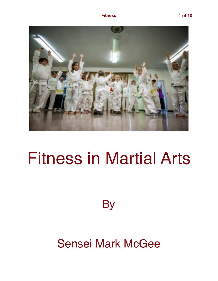

# Fitness in Martial Arts

**By** 

## Sensei Mark McGee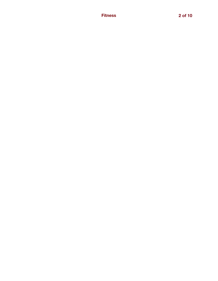#### **Fitness 2 of 10**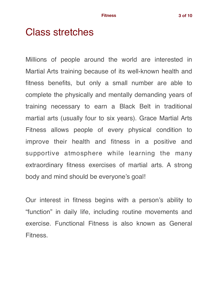### Class stretches

Millions of people around the world are interested in Martial Arts training because of its well-known health and fitness benefits, but only a small number are able to complete the physically and mentally demanding years of training necessary to earn a Black Belt in traditional martial arts (usually four to six years). Grace Martial Arts Fitness allows people of every physical condition to improve their health and fitness in a positive and supportive atmosphere while learning the many extraordinary fitness exercises of martial arts. A strong body and mind should be everyone's goal!

Our interest in fitness begins with a person's ability to "function" in daily life, including routine movements and exercise. Functional Fitness is also known as General Fitness.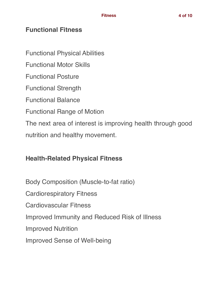#### **Functional Fitness**

Functional Physical Abilities

Functional Motor Skills

Functional Posture

Functional Strength

Functional Balance

Functional Range of Motion

The next area of interest is improving health through good nutrition and healthy movement.

#### **Health-Related Physical Fitness**

Body Composition (Muscle-to-fat ratio) Cardiorespiratory Fitness Cardiovascular Fitness Improved Immunity and Reduced Risk of Illness Improved Nutrition Improved Sense of Well-being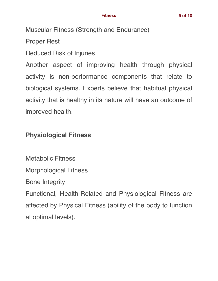Muscular Fitness (Strength and Endurance)

Proper Rest

Reduced Risk of Injuries

Another aspect of improving health through physical activity is non-performance components that relate to biological systems. Experts believe that habitual physical activity that is healthy in its nature will have an outcome of improved health.

#### **Physiological Fitness**

Metabolic Fitness

Morphological Fitness

Bone Integrity

Functional, Health-Related and Physiological Fitness are affected by Physical Fitness (ability of the body to function at optimal levels).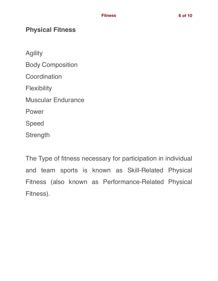#### **Physical Fitness**

Agility

Body Composition

**Coordination** 

**Flexibility** 

Muscular Endurance

Power

Speed

**Strength** 

The Type of fitness necessary for participation in individual and team sports is known as Skill-Related Physical Fitness (also known as Performance-Related Physical Fitness).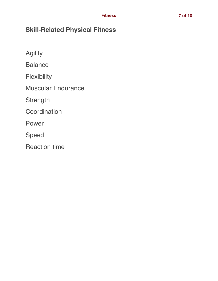#### **Skill-Related Physical Fitness**

Agility

**Balance** 

**Flexibility** 

Muscular Endurance

**Strength** 

**Coordination** 

Power

Speed

Reaction time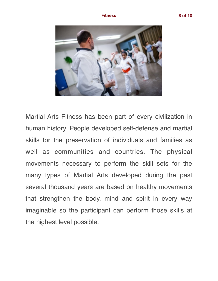

Martial Arts Fitness has been part of every civilization in human history. People developed self-defense and martial skills for the preservation of individuals and families as well as communities and countries. The physical movements necessary to perform the skill sets for the many types of Martial Arts developed during the past several thousand years are based on healthy movements that strengthen the body, mind and spirit in every way imaginable so the participant can perform those skills at the highest level possible.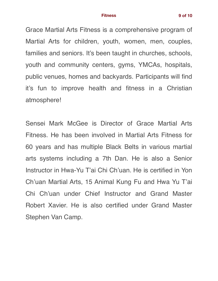Grace Martial Arts Fitness is a comprehensive program of Martial Arts for children, youth, women, men, couples, families and seniors. It's been taught in churches, schools, youth and community centers, gyms, YMCAs, hospitals, public venues, homes and backyards. Participants will find it's fun to improve health and fitness in a Christian atmosphere!

Sensei Mark McGee is Director of Grace Martial Arts Fitness. He has been involved in Martial Arts Fitness for 60 years and has multiple Black Belts in various martial arts systems including a 7th Dan. He is also a Senior Instructor in Hwa-Yu T'ai Chi Ch'uan. He is certified in Yon Ch'uan Martial Arts, 15 Animal Kung Fu and Hwa Yu T'ai Chi Ch'uan under Chief Instructor and Grand Master Robert Xavier. He is also certified under Grand Master Stephen Van Camp.